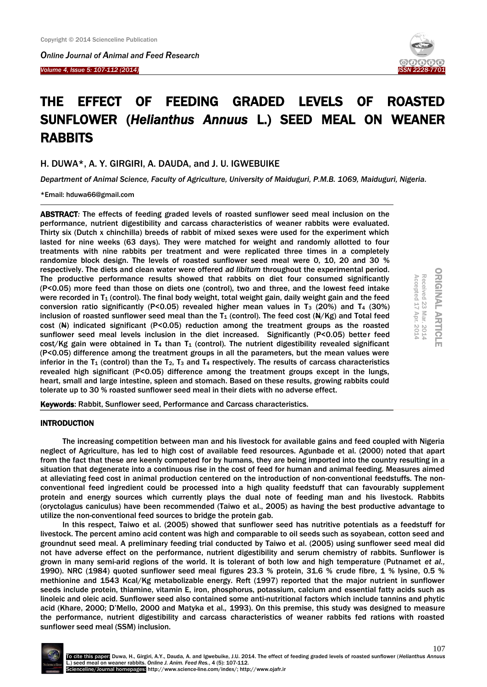Ĩ

*Online Journal of Animal and Feed Research Volume 4, Issue 5: 107-112 (2014)* 



# THE EFFECT OF FEEDING GRADED LEVELS OF ROASTED SUNFLOWER (*Helianthus Annuus* L.) SEED MEAL ON WEANER RABBITS

H. DUWA\*, A. Y. GIRGIRI, A. DAUDA, and J. U. IGWEBUIKE

*Department of Animal Science, Faculty of Agriculture, University of Maiduguri, P.M.B. 1069, Maiduguri, Nigeria.*

\*Email: hduwa66@gmail.com

ABSTRACT*:* The effects of feeding graded levels of roasted sunflower seed meal inclusion on the performance, nutrient digestibility and carcass characteristics of weaner rabbits were evaluated. Thirty six (Dutch x chinchilla) breeds of rabbit of mixed sexes were used for the experiment which lasted for nine weeks (63 days). They were matched for weight and randomly allotted to four treatments with nine rabbits per treatment and were replicated three times in a completely randomize block design. The levels of roasted sunflower seed meal were 0, 10, 20 and 30 % respectively. The diets and clean water were offered *ad libitum* throughout the experimental period. The productive performance results showed that rabbits on diet four consumed significantly (P<0.05) more feed than those on diets one (control), two and three, and the lowest feed intake were recorded in  $T_1$  (control). The final body weight, total weight gain, daily weight gain and the feed conversion ratio significantly (P<0.05) revealed higher mean values in  $T_3$  (20%) and  $T_4$  (30%) inclusion of roasted sunflower seed meal than the  $T_1$  (control). The feed cost ( $\frac{N}{K}(K)$  and Total feed cost  $(A)$  indicated significant (P<0.05) reduction among the treatment groups as the roasted sunflower seed meal levels inclusion in the diet increased. Significantly (P<0.05) better feed cost/Kg gain were obtained in  $T_4$  than  $T_1$  (control). The nutrient digestibility revealed significant (P<0.05) difference among the treatment groups in all the parameters, but the mean values were inferior in the  $T_1$  (control) than the  $T_2$ ,  $T_3$  and  $T_4$  respectively. The results of carcass characteristics revealed high significant (P<0.05) difference among the treatment groups except in the lungs, heart, small and large intestine, spleen and stomach. Based on these results, growing rabbits could tolerate up to 30 % roasted sunflower seed meal in their diets with no adverse effect.

**ORIGINAL ARTICLE** ORIGINAL ARTICLE Accepted 17 Apr. 2014 Received 23 Mar. 2014 Accepted 17 Received 23 Mar. 2014 Apr. 2014

Keywords: Rabbit, Sunflower seed, Performance and Carcass characteristics.

# INTRODUCTION

The increasing competition between man and his livestock for available gains and feed coupled with Nigeria neglect of Agriculture, has led to high cost of available feed resources. Agunbade et al. (2000) noted that apart from the fact that these are keenly competed for by humans, they are being imported into the country resulting in a situation that degenerate into a continuous rise in the cost of feed for human and animal feeding. Measures aimed at alleviating feed cost in animal production centered on the introduction of non-conventional feedstuffs. The nonconventional feed ingredient could be processed into a high quality feedstuff that can favourably supplement protein and energy sources which currently plays the dual note of feeding man and his livestock. Rabbits (oryctolagus caniculus) have been recommended (Taiwo et al., 2005) as having the best productive advantage to utilize the non-conventional feed sources to bridge the protein gab.

In this respect, Taiwo et al. (2005) showed that sunflower seed has nutritive potentials as a feedstuff for livestock. The percent amino acid content was high and comparable to oil seeds such as soyabean, cotton seed and groundnut seed meal. A preliminary feeding trial conducted by Taiwo et al. (2005) using sunflower seed meal did not have adverse effect on the performance, nutrient digestibility and serum chemistry of rabbits. Sunflower is grown in many semi-arid regions of the world. It is tolerant of both low and high temperature (Putnamet *et al.,* 1990). NRC (1984) quoted sunflower seed meal figures 23.3 % protein, 31.6 % crude fibre, 1 % lysine, 0.5 % methionine and 1543 Kcal/Kg metabolizable energy. Reft (1997) reported that the major nutrient in sunflower seeds include protein, thiamine, vitamin E, iron, phosphorus, potassium, calcium and essential fatty acids such as linoleic and oleic acid. Sunflower seed also contained some anti-nutritional factors which include tannins and phytic acid (Khare, 2000; D'Mello, 2000 and Matyka et al.*,* 1993). On this premise, this study was designed to measure the performance, nutrient digestibility and carcass characteristics of weaner rabbits fed rations with roasted sunflower seed meal (SSM) inclusion.

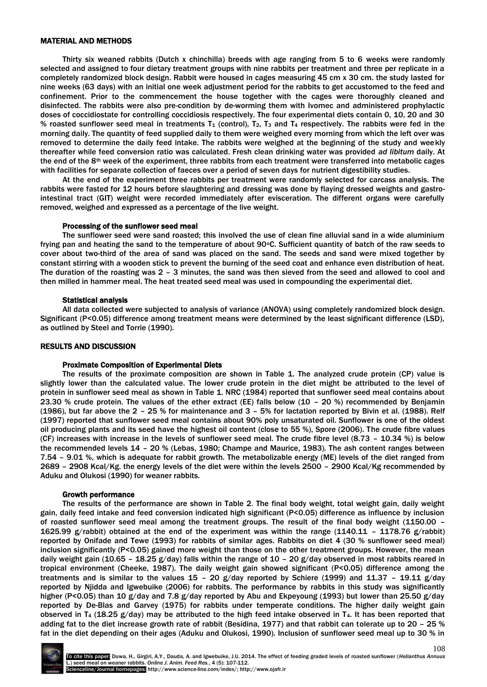## MATERIAL AND METHODS

Thirty six weaned rabbits (Dutch x chinchilla) breeds with age ranging from 5 to 6 weeks were randomly selected and assigned to four dietary treatment groups with nine rabbits per treatment and three per replicate in a completely randomized block design. Rabbit were housed in cages measuring 45 cm x 30 cm. the study lasted for nine weeks (63 days) with an initial one week adjustment period for the rabbits to get accustomed to the feed and confinement. Prior to the commencement the house together with the cages were thoroughly cleaned and disinfected. The rabbits were also pre-condition by de-worming them with Ivomec and administered prophylactic doses of coccidiostate for controlling coccidiosis respectively. The four experimental diets contain 0, 10, 20 and 30 % roasted sunflower seed meal in treatments  $T_1$  (control),  $T_2$ ,  $T_3$  and  $T_4$  respectively. The rabbits were fed in the morning daily. The quantity of feed supplied daily to them were weighed every morning from which the left over was removed to determine the daily feed intake. The rabbits were weighed at the beginning of the study and weekly thereafter while feed conversion ratio was calculated. Fresh clean drinking water was provided *ad libitum* daily. At the end of the 8<sup>th</sup> week of the experiment, three rabbits from each treatment were transferred into metabolic cages with facilities for separate collection of faeces over a period of seven days for nutrient digestibility studies.

At the end of the experiment three rabbits per treatment were randomly selected for carcass analysis. The rabbits were fasted for 12 hours before slaughtering and dressing was done by flaying dressed weights and gastrointestinal tract (GIT) weight were recorded immediately after evisceration. The different organs were carefully removed, weighed and expressed as a percentage of the live weight.

#### Processing of the sunflower seed meal

The sunflower seed were sand roasted; this involved the use of clean fine alluvial sand in a wide aluminium frying pan and heating the sand to the temperature of about 90°C. Sufficient quantity of batch of the raw seeds to cover about two-third of the area of sand was placed on the sand. The seeds and sand were mixed together by constant stirring with a wooden stick to prevent the burning of the seed coat and enhance even distribution of heat. The duration of the roasting was 2 – 3 minutes, the sand was then sieved from the seed and allowed to cool and then milled in hammer meal. The heat treated seed meal was used in compounding the experimental diet.

## Statistical analysis

All data collected were subjected to analysis of variance (ANOVA) using completely randomized block design. Significant (P<0.05) difference among treatment means were determined by the least significant difference (LSD), as outlined by Steel and Torrie (1990).

#### RESULTS AND DISCUSSION

#### Proximate Composition of Experimental Diets

The results of the proximate composition are shown in Table 1. The analyzed crude protein (CP) value is slightly lower than the calculated value. The lower crude protein in the diet might be attributed to the level of protein in sunflower seed meal as shown in Table 1. NRC (1984) reported that sunflower seed meal contains about 23.30 % crude protein. The values of the ether extract (EE) falls below (10 – 20 %) recommended by Benjamin (1986), but far above the 2 – 25 % for maintenance and 3 – 5% for lactation reported by Bivin et al. (1988). Relf (1997) reported that sunflower seed meal contains about 90% poly unsaturated oil. Sunflower is one of the oldest oil producing plants and its seed have the highest oil content (close to 55 %), Spore (2006). The crude fibre values (CF) increases with increase in the levels of sunflower seed meal. The crude fibre level (8.73 – 10.34 %) is below the recommended levels 14 – 20 % (Lebas, 1980; Champe and Maurice, 1983). The ash content ranges between 7.54 – 9.01 %, which is adequate for rabbit growth. The metabolizable energy (ME) levels of the diet ranged from 2689 – 2908 Kcal/Kg. the energy levels of the diet were within the levels 2500 – 2900 Kcal/Kg recommended by Aduku and Olukosi (1990) for weaner rabbits.

#### Growth performance

The results of the performance are shown in Table 2. The final body weight, total weight gain, daily weight gain, daily feed intake and feed conversion indicated high significant (P<0.05) difference as influence by inclusion of roasted sunflower seed meal among the treatment groups. The result of the final body weight (1150.00 – 1625.99 g/rabbit) obtained at the end of the experiment was within the range (1140.11 – 1178.76 g/rabbit) reported by Onifade and Tewe (1993) for rabbits of similar ages. Rabbits on diet 4 (30 % sunflower seed meal) inclusion significantly (P<0.05) gained more weight than those on the other treatment groups. However, the mean daily weight gain (10.65 - 18.25 g/day) falls within the range of 10 - 20 g/day observed in most rabbits reared in tropical environment (Cheeke, 1987). The daily weight gain showed significant (P<0.05) difference among the treatments and is similar to the values 15 - 20 g/day reported by Schiere (1999) and 11.37 - 19.11 g/day reported by Njidda and Igwebuike (2006) for rabbits. The performance by rabbits in this study was significantly higher (P<0.05) than 10 g/day and 7.8 g/day reported by Abu and Ekpeyoung (1993) but lower than 25.50 g/day reported by De-Blas and Garvey (1975) for rabbits under temperate conditions. The higher daily weight gain observed in T<sub>4</sub> (18.25 g/day) may be attributed to the high feed intake observed in T<sub>4</sub>. It has been reported that adding fat to the diet increase growth rate of rabbit (Besidina, 1977) and that rabbit can tolerate up to 20 – 25 % fat in the diet depending on their ages (Aduku and Olukosi, 1990). Inclusion of sunflower seed meal up to 30 % in

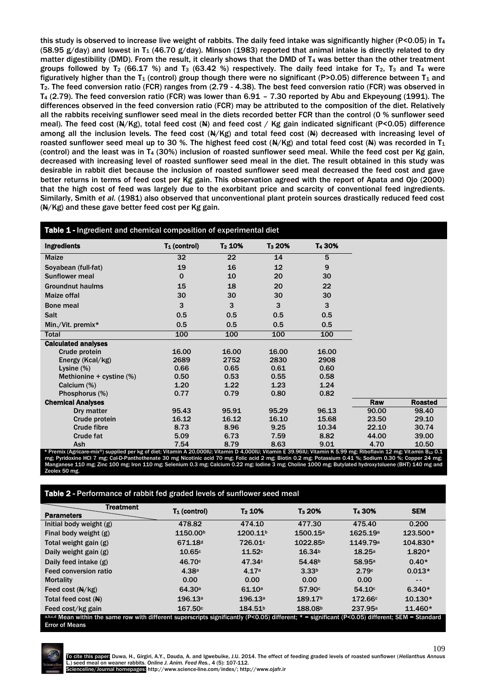this study is observed to increase live weight of rabbits. The daily feed intake was significantly higher (P<0.05) in T<sup>4</sup> (58.95 g/day) and lowest in T<sub>1</sub> (46.70 g/day). Minson (1983) reported that animal intake is directly related to dry matter digestibility (DMD). From the result, it clearly shows that the DMD of T<sup>4</sup> was better than the other treatment groups followed by T<sub>2</sub> (66.17 %) and T<sub>3</sub> (63.42 %) respectively. The daily feed intake for T<sub>2</sub>, T<sub>3</sub> and T<sub>4</sub> were figuratively higher than the  $T_1$  (control) group though there were no significant (P>0.05) difference between  $T_1$  and T2. The feed conversion ratio (FCR) ranges from (2.79 - 4.38). The best feed conversion ratio (FCR) was observed in T<sup>4</sup> (2.79). The feed conversion ratio (FCR) was lower than 6.91 – 7.30 reported by Abu and Ekpeyoung (1991). The differences observed in the feed conversion ratio (FCR) may be attributed to the composition of the diet. Relatively all the rabbits receiving sunflower seed meal in the diets recorded better FCR than the control (0 % sunflower seed meal). The feed cost  $(N/Kg)$ , total feed cost (N) and feed cost / Kg gain indicated significant (P<0.05) difference among all the inclusion levels. The feed cost  $(A)/Kg$  and total feed cost  $(A)$  decreased with increasing level of roasted sunflower seed meal up to 30 %. The highest feed cost ( $\frac{A}{K}$ ) and total feed cost ( $\frac{A}{K}$ ) was recorded in T<sub>1</sub> (control) and the least was in T<sup>4</sup> (30%) inclusion of roasted sunflower seed meal. While the feed cost per Kg gain, decreased with increasing level of roasted sunflower seed meal in the diet. The result obtained in this study was desirable in rabbit diet because the inclusion of roasted sunflower seed meal decreased the feed cost and gave better returns in terms of feed cost per Kg gain. This observation agreed with the report of Apata and Ojo (2000) that the high cost of feed was largely due to the exorbitant price and scarcity of conventional feed ingredients. Similarly, Smith *et al.* (1981) also observed that unconventional plant protein sources drastically reduced feed cost  $(N/Kg)$  and these gave better feed cost per Kg gain.

| Table 1 - Ingredient and chemical composition of experimental diet                                                                                                                  |                 |           |                    |                    |       |                |
|-------------------------------------------------------------------------------------------------------------------------------------------------------------------------------------|-----------------|-----------|--------------------|--------------------|-------|----------------|
| <b>Ingredients</b>                                                                                                                                                                  | $T_1$ (control) | $T_2$ 10% | T <sub>3</sub> 20% | T <sub>4</sub> 30% |       |                |
| <b>Maize</b>                                                                                                                                                                        | 32              | 22        | 14                 | 5                  |       |                |
| Soyabean (full-fat)                                                                                                                                                                 | 19              | 16        | 12                 | 9                  |       |                |
| <b>Sunflower meal</b>                                                                                                                                                               | $\mathbf 0$     | 10        | 20                 | 30                 |       |                |
| <b>Groundnut haulms</b>                                                                                                                                                             | 15              | 18        | 20                 | 22                 |       |                |
| Maize offal                                                                                                                                                                         | 30              | 30        | 30                 | 30                 |       |                |
| <b>Bone meal</b>                                                                                                                                                                    | 3               | 3         | 3                  | 3                  |       |                |
| <b>Salt</b>                                                                                                                                                                         | 0.5             | 0.5       | 0.5                | 0.5                |       |                |
| Min./Vit. premix*                                                                                                                                                                   | 0.5             | 0.5       | 0.5                | 0.5                |       |                |
| <b>Total</b>                                                                                                                                                                        | 100             | 100       | 100                | 100                |       |                |
| <b>Calculated analyses</b>                                                                                                                                                          |                 |           |                    |                    |       |                |
| Crude protein                                                                                                                                                                       | 16.00           | 16.00     | 16.00              | 16.00              |       |                |
| Energy (Kcal/kg)                                                                                                                                                                    | 2689            | 2752      | 2830               | 2908               |       |                |
| Lysine $(\%)$                                                                                                                                                                       | 0.66            | 0.65      | 0.61               | 0.60               |       |                |
| Methionine + cystine (%)                                                                                                                                                            | 0.50            | 0.53      | 0.55               | 0.58               |       |                |
| Calcium (%)                                                                                                                                                                         | 1.20            | 1.22      | 1.23               | 1.24               |       |                |
| Phosphorus (%)                                                                                                                                                                      | 0.77            | 0.79      | 0.80               | 0.82               |       |                |
| <b>Chemical Analyses</b>                                                                                                                                                            |                 |           |                    |                    | Raw   | <b>Roasted</b> |
| Dry matter                                                                                                                                                                          | 95.43           | 95.91     | 95.29              | 96.13              | 90.00 | 98.40          |
| Crude protein                                                                                                                                                                       | 16.12           | 16.12     | 16.10              | 15.68              | 23.50 | 29.10          |
| <b>Crude fibre</b>                                                                                                                                                                  | 8.73            | 8.96      | 9.25               | 10.34              | 22.10 | 30.74          |
| <b>Crude fat</b>                                                                                                                                                                    | 5.09            | 6.73      | 7.59               | 8.82               | 44.00 | 39.00          |
| Ash<br>* Premix (Agricare-mix®) sunnlied per kg of diet: Vitamin A 20 000UL: Vitamin D 4 000UL: Vitamin E 39 96UL: Vitamin K 5 99 mg: Riboflavin 12 mg: Vitamin B <sub>10</sub> 0 1 | 7.54            | 8.79      | 8.63               | 9.01               | 4.70  | 10.50          |

\* Premix (Agricare-mix®) supplied per kg of diet; Vitamin A 20,000IU; Vitamin D 4,000IU; Vitamin I 5.99.9U; Vitamin B 5.99 mg; Riboflavin 12 mg; Vitamin B12 0.1<br>mg; Pyridoxine HCl 7 mg; Cal-D-Panthothenate 30 mg Nicotinic Manganese 110 mg; Zinc 100 mg; Iron 110 mg; Selenium 0.3 mg; Calcium 0.22 mg; Iodine 3 mg; Choline 1000 mg; Butylated hydroxytoluene (BHT) 140 mg and Zeolex 50 mg.

Table 2 - Performance of rabbit fed graded levels of sunflower seed meal

| <b>Treatment</b>                                                                                                                                  |                      | T <sub>2</sub> 10%  | T <sub>3</sub> 20%  | T <sub>4</sub> 30%   |            |  |
|---------------------------------------------------------------------------------------------------------------------------------------------------|----------------------|---------------------|---------------------|----------------------|------------|--|
| <b>Parameters</b>                                                                                                                                 | $T_1$ (control)      |                     |                     |                      | <b>SEM</b> |  |
| Initial body weight (g)                                                                                                                           | 478.82               | 474.10              | 477.30              | 475.40               | 0.200      |  |
| Final body weight (g)                                                                                                                             | 1150.00 <sup>b</sup> | 1200.11b            | 1500.15a            | 1625.19 <sup>a</sup> | 123.500*   |  |
| Total weight gain (g)                                                                                                                             | 671.18 <sup>d</sup>  | 726.01c             | 1022.85b            | 1149.79a             | 104.830*   |  |
| Daily weight gain (g)                                                                                                                             | 10.65c               | 11.52c              | 16.34 <sup>b</sup>  | 18.25a               | $1.820*$   |  |
| Daily feed intake (g)                                                                                                                             | 46.70 <sup>c</sup>   | 47.34c              | 54.48 <sup>b</sup>  | 58.95a               | $0.40*$    |  |
| Feed conversion ratio                                                                                                                             | 4.38a                | 4.17a               | 3.33 <sup>b</sup>   | 2.79c                | $0.013*$   |  |
| <b>Mortality</b>                                                                                                                                  | 0.00                 | 0.00                | 0.00                | 0.00                 | $- -$      |  |
| Feed cost $(N/kg)$                                                                                                                                | 64.30a               | 61.10a              | 57.90c              | 54.10 <sup>c</sup>   | $6.340*$   |  |
| Total feed cost (N)                                                                                                                               | 196.13a              | 196.13a             | 189.17 <sup>b</sup> | 172.66c              | $10.130*$  |  |
| Feed cost/kg gain                                                                                                                                 | 167.50c              | 184.51 <sup>b</sup> | 188.08 <sup>b</sup> | 237.95 <sup>a</sup>  | 11.460*    |  |
| a,b,c,d Mean within the same row with different superscripts significantly (P<0.05) different; * = significant (P<0.05) different; SEM = Standard |                      |                     |                     |                      |            |  |

Error of Means

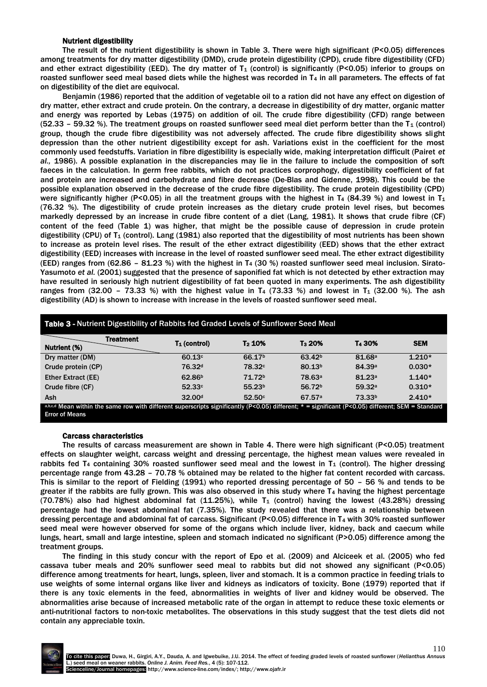## Nutrient digestibility

The result of the nutrient digestibility is shown in Table 3. There were high significant (P<0.05) differences among treatments for dry matter digestibility (DMD), crude protein digestibility (CPD), crude fibre digestibility (CFD) and ether extract digestibility (EED). The dry matter of  $T_1$  (control) is significantly (P<0.05) inferior to groups on roasted sunflower seed meal based diets while the highest was recorded in T<sup>4</sup> in all parameters. The effects of fat on digestibility of the diet are equivocal.

Benjamin (1986) reported that the addition of vegetable oil to a ration did not have any effect on digestion of dry matter, ether extract and crude protein. On the contrary, a decrease in digestibility of dry matter, organic matter and energy was reported by Lebas (1975) on addition of oil. The crude fibre digestibility (CFD) range between (52.33 – 59.32 %). The treatment groups on roasted sunflower seed meal diet perform better than the  $T_1$  (control) group, though the crude fibre digestibility was not adversely affected. The crude fibre digestibility shows slight depression than the other nutrient digestibility except for ash. Variations exist in the coefficient for the most commonly used feedstuffs. Variation in fibre digestibility is especially wide, making interpretation difficult (Pairet *et al.,* 1986). A possible explanation in the discrepancies may lie in the failure to include the composition of soft faeces in the calculation. In germ free rabbits, which do not practices corprophogy, digestibility coefficient of fat and protein are increased and carbohydrate and fibre decrease (De-Blas and Gidenne, 1998). This could be the possible explanation observed in the decrease of the crude fibre digestibility. The crude protein digestibility (CPD) were significantly higher (P<0.05) in all the treatment groups with the highest in T<sub>4</sub> (84.39 %) and lowest in T<sub>1</sub> (76.32 %). The digestibility of crude protein increases as the dietary crude protein level rises, but becomes markedly depressed by an increase in crude fibre content of a diet (Lang, 1981). It shows that crude fibre (CF) content of the feed (Table 1) was higher, that might be the possible cause of depression in crude protein digestibility (CPU) of  $T_1$  (control). Lang (1981) also reported that the digestibility of most nutrients has been shown to increase as protein level rises. The result of the ether extract digestibility (EED) shows that the ether extract digestibility (EED) increases with increase in the level of roasted sunflower seed meal. The ether extract digestibility (EED) ranges from (62.86 - 81.23 %) with the highest in T<sub>4</sub> (30 %) roasted sunflower seed meal inclusion. Sirato-Yasumoto *et al.* (2001) suggested that the presence of saponified fat which is not detected by ether extraction may have resulted in seriously high nutrient digestibility of fat been quoted in many experiments. The ash digestibility ranges from (32.00 - 73.33 %) with the highest value in  $T_4$  (73.33 %) and lowest in  $T_4$  (32.00 %). The ash digestibility (AD) is shown to increase with increase in the levels of roasted sunflower seed meal.

| Table 3 - Nutrient Digestibility of Rabbits fed Graded Levels of Sunflower Seed Meal                                                                |                    |                    |                    |                    |            |
|-----------------------------------------------------------------------------------------------------------------------------------------------------|--------------------|--------------------|--------------------|--------------------|------------|
| <b>Treatment</b><br>Nutrient (%)                                                                                                                    | $T_1$ (control)    | T <sub>2</sub> 10% | T <sub>3</sub> 20% | T <sub>4</sub> 30% | <b>SEM</b> |
| Dry matter (DM)                                                                                                                                     | 60.13c             | 66.17 <sup>b</sup> | 63.42 <sup>b</sup> | 81.68 <sup>a</sup> | $1.210*$   |
| Crude protein (CP)                                                                                                                                  | 76.32 <sup>d</sup> | 78.32c             | 80.13 <sup>b</sup> | 84.39a             | $0.030*$   |
| Ether Extract (EE)                                                                                                                                  | 62.86 <sup>b</sup> | 71.72 <sup>b</sup> | 78.63 <sup>a</sup> | 81.23a             | $1.140*$   |
| Crude fibre (CF)                                                                                                                                    | 52.33c             | 55.23 <sup>b</sup> | 56.72 <sup>b</sup> | 59.32a             | $0.310*$   |
| <b>Ash</b>                                                                                                                                          | 32.00 <sup>d</sup> | 52.50 <sup>c</sup> | 67.57a             | 73.33 <sup>b</sup> | $2.410*$   |
| a,b,c,d Mean within the same row with different superscripts significantly (P<0.05) different: $* =$ significant (P<0.05) different: SEM = Standard |                    |                    |                    |                    |            |

a,b,c,d Mean within the same row with different superscripts significantly (P<0.05) different; \* = significant (P<0.05) different; SEM = Standard Error of Means

#### Carcass characteristics

The results of carcass measurement are shown in Table 4. There were high significant (P<0.05) treatment effects on slaughter weight, carcass weight and dressing percentage, the highest mean values were revealed in rabbits fed T<sub>4</sub> containing 30% roasted sunflower seed meal and the lowest in T<sub>1</sub> (control). The higher dressing percentage range from 43.28 – 70.78 % obtained may be related to the higher fat content recorded with carcass. This is similar to the report of Fielding (1991) who reported dressing percentage of 50 – 56 % and tends to be greater if the rabbits are fully grown. This was also observed in this study where  $T_4$  having the highest percentage (70.78%) also had highest abdominal fat  $(11.25%)$ , while  $T_1$  (control) having the lowest (43.28%) dressing percentage had the lowest abdominal fat (7.35%). The study revealed that there was a relationship between dressing percentage and abdominal fat of carcass. Significant (P<0.05) difference in T<sup>4</sup> with 30% roasted sunflower seed meal were however observed for some of the organs which include liver, kidney, back and caecum while lungs, heart, small and large intestine, spleen and stomach indicated no significant (P>0.05) difference among the treatment groups.

The finding in this study concur with the report of Epo et al. (2009) and Alciceek et al. (2005) who fed cassava tuber meals and 20% sunflower seed meal to rabbits but did not showed any significant (P<0.05) difference among treatments for heart, lungs, spleen, liver and stomach. It is a common practice in feeding trials to use weights of some internal organs like liver and kidneys as indicators of toxicity. Bone (1979) reported that if there is any toxic elements in the feed, abnormalities in weights of liver and kidney would be observed. The abnormalities arise because of increased metabolic rate of the organ in attempt to reduce these toxic elements or anti-nutritional factors to non-toxic metabolites. The observations in this study suggest that the test diets did not contain any appreciable toxin.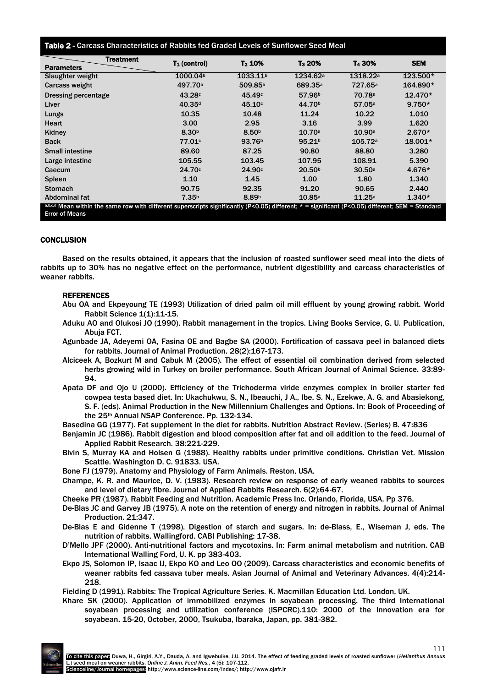# Table 2 - Carcass Characteristics of Rabbits fed Graded Levels of Sunflower Seed Meal

| <b>Treatment</b>                                                                                                                                    | $T_1$ (control)      | T <sub>2</sub> 10%   | T <sub>3</sub> 20%   | T <sub>4</sub> 30%   | <b>SEM</b> |  |
|-----------------------------------------------------------------------------------------------------------------------------------------------------|----------------------|----------------------|----------------------|----------------------|------------|--|
| <b>Parameters</b>                                                                                                                                   |                      |                      |                      |                      |            |  |
| Slaughter weight                                                                                                                                    | 1000.04 <sup>b</sup> | 1033.11 <sup>b</sup> | 1234.62 <sup>a</sup> | 1318.22 <sup>a</sup> | 123.500*   |  |
| Carcass weight                                                                                                                                      | 497.70 <sup>b</sup>  | 509.85 <sup>b</sup>  | 689.35 <sup>a</sup>  | 727.65 <sup>a</sup>  | 164.890*   |  |
| <b>Dressing percentage</b>                                                                                                                          | 43.28c               | 45.49 <sup>c</sup>   | 57.96 <sup>b</sup>   | 70.78 <sup>a</sup>   | $12.470*$  |  |
| Liver                                                                                                                                               | 40.35 <sup>d</sup>   | 45.10c               | 44.70 <sup>b</sup>   | 57.05a               | $9.750*$   |  |
| Lungs                                                                                                                                               | 10.35                | 10.48                | 11.24                | 10.22                | 1.010      |  |
| Heart                                                                                                                                               | 3.00                 | 2.95                 | 3.16                 | 3.99                 | 1.620      |  |
| Kidney                                                                                                                                              | 8.30 <sup>b</sup>    | 8.50 <sup>b</sup>    | 10.70a               | 10.90a               | $2.670*$   |  |
| <b>Back</b>                                                                                                                                         | 77.01 <sup>c</sup>   | 93.76 <sup>b</sup>   | 95.21 <sup>b</sup>   | 105.72a              | $18.001*$  |  |
| <b>Small intestine</b>                                                                                                                              | 89.60                | 87.25                | 90.80                | 88.80                | 3.280      |  |
| Large intestine                                                                                                                                     | 105.55               | 103.45               | 107.95               | 108.91               | 5.390      |  |
| Caecum                                                                                                                                              | 24.70c               | 24.90c               | 20.50 <sup>b</sup>   | 30.50a               | 4.676*     |  |
| <b>Spleen</b>                                                                                                                                       | 1.10                 | 1.45                 | 1.00                 | 1.80                 | 1.340      |  |
| <b>Stomach</b>                                                                                                                                      | 90.75                | 92.35                | 91.20                | 90.65                | 2.440      |  |
| Abdominal fat                                                                                                                                       | 7.35 <sup>b</sup>    | 8.89b                | 10.85a               | 11.25a               | $1.340*$   |  |
| a,b,c,d Mean within the same row with different superscripts significantly (P<0.05) different: $* =$ significant (P<0.05) different: SEM = Standard |                      |                      |                      |                      |            |  |

a,b,c,d Mean within the same row with different superscripts significantly (P<0.05) different; \* = significant (P<0.05) different; SEM = Standard Error of Means

## **CONCLUSION**

Based on the results obtained, it appears that the inclusion of roasted sunflower seed meal into the diets of rabbits up to 30% has no negative effect on the performance, nutrient digestibility and carcass characteristics of weaner rabbits.

## REFERENCES

- Abu OA and Ekpeyoung TE (1993) Utilization of dried palm oil mill effluent by young growing rabbit. World Rabbit Science 1(1):11-15.
- Aduku AO and Olukosi JO (1990). Rabbit management in the tropics. Living Books Service, G. U. Publication, Abuja FCT.
- Agunbade JA, Adeyemi OA, Fasina OE and Bagbe SA (2000). Fortification of cassava peel in balanced diets for rabbits. Journal of Animal Production. 28(2):167-173.
- Alciceek A, Bozkurt M and Cabuk M (2005). The effect of essential oil combination derived from selected herbs growing wild in Turkey on broiler performance. South African Journal of Animal Science. 33:89- 94.
- Apata DF and Ojo U (2000). Efficiency of the Trichoderma viride enzymes complex in broiler starter fed cowpea testa based diet. In: Ukachukwu, S. N., Ibeauchi, J A., Ibe, S. N., Ezekwe, A. G. and Abasiekong, S. F. (eds). Animal Production in the New Millennium Challenges and Options. In: Book of Proceeding of the 25th Annual NSAP Conference. Pp. 132-134.
- Basedina GG (1977). Fat supplement in the diet for rabbits. Nutrition Abstract Review. (Series) B. 47:836
- Benjamin JC (1986). Rabbit digestion and blood composition after fat and oil addition to the feed. Journal of Applied Rabbit Research. 38:221-229.
- Bivin S, Murray KA and Holsen G (1988). Healthy rabbits under primitive conditions. Christian Vet. Mission Scattle. Washington D. C. 91833. USA.
- Bone FJ (1979). Anatomy and Physiology of Farm Animals. Reston, USA.
- Champe, K. R. and Maurice, D. V. (1983). Research review on response of early weaned rabbits to sources and level of dietary fibre. Journal of Applied Rabbits Research. 6(2):64-67.
- Cheeke PR (1987). Rabbit Feeding and Nutrition. Academic Press Inc. Orlando, Florida, USA. Pp 376.
- De-Blas JC and Garvey JB (1975). A note on the retention of energy and nitrogen in rabbits. Journal of Animal Production. 21:347.
- De-Blas E and Gidenne T (1998). Digestion of starch and sugars. In: de-Blass, E., Wiseman J, eds. The nutrition of rabbits. Wallingford. CABI Publishing: 17-38.
- D'Mello JPF (2000). Anti-nutritional factors and mycotoxins. In: Farm animal metabolism and nutrition. CAB International Walling Ford, U. K. pp 383-403.
- Ekpo JS, Solomon IP, Isaac IJ, Ekpo KO and Leo OO (2009). Carcass characteristics and economic benefits of weaner rabbits fed cassava tuber meals. Asian Journal of Animal and Veterinary Advances. 4(4):214- 218.

Fielding D (1991). Rabbits: The Tropical Agriculture Series. K. Macmillan Education Ltd. London, UK.

Khare SK (2000). Application of immobilized enzymes in soyabean processing. The third International soyabean processing and utilization conference (ISPCRC).110: 2000 of the Innovation era for soyabean. 15-20, October, 2000, Tsukuba, Ibaraka, Japan, pp. 381-382.